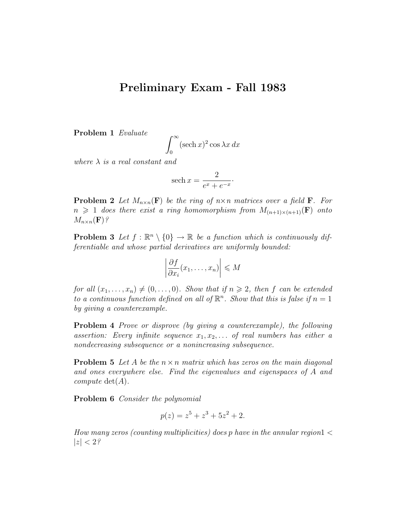## Preliminary Exam - Fall 1983

Problem 1 Evaluate

$$
\int_0^\infty (\operatorname{sech} x)^2 \cos \lambda x \, dx
$$

where  $\lambda$  is a real constant and

$$
\operatorname{sech} x = \frac{2}{e^x + e^{-x}}.
$$

**Problem 2** Let  $M_{n\times n}(\mathbf{F})$  be the ring of  $n\times n$  matrices over a field **F**. For  $n \geq 1$  does there exist a ring homomorphism from  $M_{(n+1)\times(n+1)}(F)$  onto  $M_{n\times n}(\mathbf{F})$ ?

**Problem 3** Let  $f : \mathbb{R}^n \setminus \{0\} \to \mathbb{R}$  be a function which is continuously differentiable and whose partial derivatives are uniformly bounded:

$$
\left|\frac{\partial f}{\partial x_i}(x_1,\ldots,x_n)\right| \leqslant M
$$

for all  $(x_1, \ldots, x_n) \neq (0, \ldots, 0)$ . Show that if  $n \geq 2$ , then f can be extended to a continuous function defined on all of  $\mathbb{R}^n$ . Show that this is false if  $n = 1$ by giving a counterexample.

Problem 4 Prove or disprove (by giving a counterexample), the following assertion: Every infinite sequence  $x_1, x_2, \ldots$  of real numbers has either a nondecreasing subsequence or a nonincreasing subsequence.

**Problem 5** Let A be the  $n \times n$  matrix which has zeros on the main diagonal and ones everywhere else. Find the eigenvalues and eigenspaces of A and compute  $\det(A)$ .

Problem 6 Consider the polynomial

$$
p(z) = z^5 + z^3 + 5z^2 + 2.
$$

How many zeros (counting multiplicities) does p have in the annular region $1 <$  $|z| < 2$ ?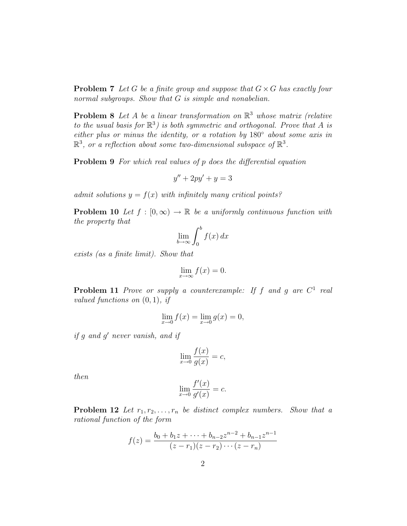**Problem 7** Let G be a finite group and suppose that  $G \times G$  has exactly four normal subgroups. Show that G is simple and nonabelian.

**Problem 8** Let A be a linear transformation on  $\mathbb{R}^3$  whose matrix (relative to the usual basis for  $\mathbb{R}^3$ ) is both symmetric and orthogonal. Prove that A is either plus or minus the identity, or a rotation by 180◦ about some axis in  $\mathbb{R}^3$ , or a reflection about some two-dimensional subspace of  $\mathbb{R}^3$ .

**Problem 9** For which real values of p does the differential equation

$$
y'' + 2py' + y = 3
$$

admit solutions  $y = f(x)$  with infinitely many critical points?

**Problem 10** Let  $f : [0, \infty) \to \mathbb{R}$  be a uniformly continuous function with the property that

$$
\lim_{b \to \infty} \int_0^b f(x) \, dx
$$

exists (as a finite limit). Show that

$$
\lim_{x \to \infty} f(x) = 0.
$$

**Problem 11** Prove or supply a counterexample: If f and g are  $C^1$  real valued functions on  $(0, 1)$ , if

$$
\lim_{x \to 0} f(x) = \lim_{x \to 0} g(x) = 0,
$$

if g and g' never vanish, and if

$$
\lim_{x \to 0} \frac{f(x)}{g(x)} = c,
$$

then

$$
\lim_{x \to 0} \frac{f'(x)}{g'(x)} = c.
$$

**Problem 12** Let  $r_1, r_2, \ldots, r_n$  be distinct complex numbers. Show that a rational function of the form

$$
f(z) = \frac{b_0 + b_1 z + \dots + b_{n-2} z^{n-2} + b_{n-1} z^{n-1}}{(z - r_1)(z - r_2) \cdots (z - r_n)}
$$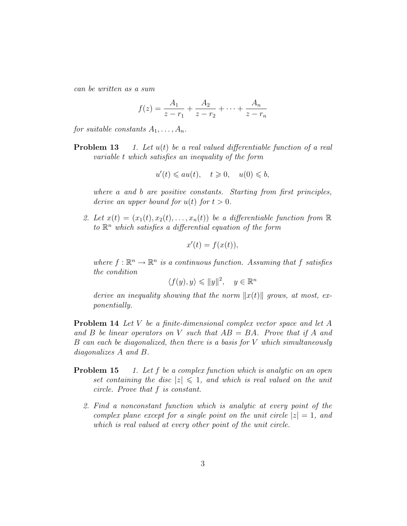can be written as a sum

$$
f(z) = \frac{A_1}{z - r_1} + \frac{A_2}{z - r_2} + \dots + \frac{A_n}{z - r_n}
$$

for suitable constants  $A_1, \ldots, A_n$ .

**Problem 13** 1. Let  $u(t)$  be a real valued differentiable function of a real variable t which satisfies an inequality of the form

$$
u'(t) \leqslant au(t), \quad t \geqslant 0, \quad u(0) \leqslant b,
$$

where a and b are positive constants. Starting from first principles, derive an upper bound for  $u(t)$  for  $t > 0$ .

2. Let  $x(t) = (x_1(t), x_2(t), \ldots, x_n(t))$  be a differentiable function from  $\mathbb R$ to  $\mathbb{R}^n$  which satisfies a differential equation of the form

$$
x'(t) = f(x(t)),
$$

where  $f: \mathbb{R}^n \to \mathbb{R}^n$  is a continuous function. Assuming that f satisfies the condition

$$
\langle f(y), y \rangle \leq \|y\|^2, \quad y \in \mathbb{R}^n
$$

derive an inequality showing that the norm  $||x(t)||$  grows, at most, exponentially.

**Problem 14** Let V be a finite-dimensional complex vector space and let A and B be linear operators on V such that  $AB = BA$ . Prove that if A and B can each be diagonalized, then there is a basis for V which simultaneously diagonalizes A and B.

- **Problem 15** 1. Let f be a complex function which is analytic on an open set containing the disc  $|z| \leq 1$ , and which is real valued on the unit circle. Prove that f is constant.
	- 2. Find a nonconstant function which is analytic at every point of the complex plane except for a single point on the unit circle  $|z|=1$ , and which is real valued at every other point of the unit circle.